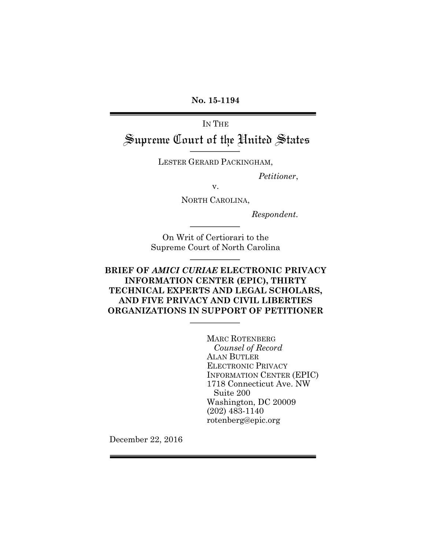**No. 15-1194**

IN THE

# Supreme Court of the United States

LESTER GERARD PACKINGHAM,

*Petitioner*,

v.

NORTH CAROLINA,

*Respondent.*

On Writ of Certiorari to the Supreme Court of North Carolina

**BRIEF OF** *AMICI CURIAE* **ELECTRONIC PRIVACY INFORMATION CENTER (EPIC), THIRTY TECHNICAL EXPERTS AND LEGAL SCHOLARS, AND FIVE PRIVACY AND CIVIL LIBERTIES ORGANIZATIONS IN SUPPORT OF PETITIONER**

> MARC ROTENBERG *Counsel of Record* ALAN BUTLER ELECTRONIC PRIVACY INFORMATION CENTER (EPIC) 1718 Connecticut Ave. NW Suite 200 Washington, DC 20009 (202) 483-1140 rotenberg@epic.org

December 22, 2016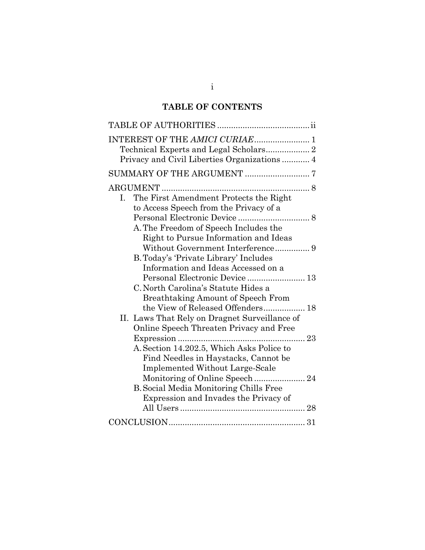# **TABLE OF CONTENTS**

| INTEREST OF THE AMICI CURIAE  1<br>Technical Experts and Legal Scholars 2<br>Privacy and Civil Liberties Organizations  4     |
|-------------------------------------------------------------------------------------------------------------------------------|
|                                                                                                                               |
| The First Amendment Protects the Right<br>$\mathbf{L}$<br>to Access Speech from the Privacy of a                              |
| A. The Freedom of Speech Includes the<br>Right to Pursue Information and Ideas                                                |
| B. Today's 'Private Library' Includes<br>Information and Ideas Accessed on a                                                  |
| Personal Electronic Device  13<br>C. North Carolina's Statute Hides a<br><b>Breathtaking Amount of Speech From</b>            |
| the View of Released Offenders 18<br>II. Laws That Rely on Dragnet Surveillance of<br>Online Speech Threaten Privacy and Free |
| A. Section 14.202.5, Which Asks Police to<br>Find Needles in Haystacks, Cannot be<br><b>Implemented Without Large-Scale</b>   |
| <b>B. Social Media Monitoring Chills Free</b><br>Expression and Invades the Privacy of                                        |
|                                                                                                                               |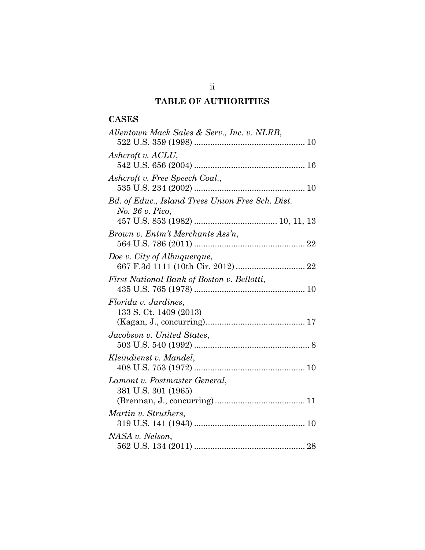# **TABLE OF AUTHORITIES**

# **CASES**

| Allentown Mack Sales & Serv., Inc. v. NLRB,                         |
|---------------------------------------------------------------------|
| Ashcroft v. ACLU,                                                   |
| Ashcroft v. Free Speech Coal.,                                      |
| Bd. of Educ., Island Trees Union Free Sch. Dist.<br>No. 26 v. Pico, |
| Brown v. Entm't Merchants Ass'n,                                    |
|                                                                     |
| Doe v. City of Albuquerque,                                         |
| First National Bank of Boston v. Bellotti,                          |
| Florida v. Jardines,<br>133 S. Ct. 1409 (2013)                      |
| Jacobson v. United States,                                          |
| Kleindienst v. Mandel,                                              |
| Lamont v. Postmaster General,<br>381 U.S. 301 (1965)                |
| Martin v. Struthers,                                                |
| NASA v. Nelson,                                                     |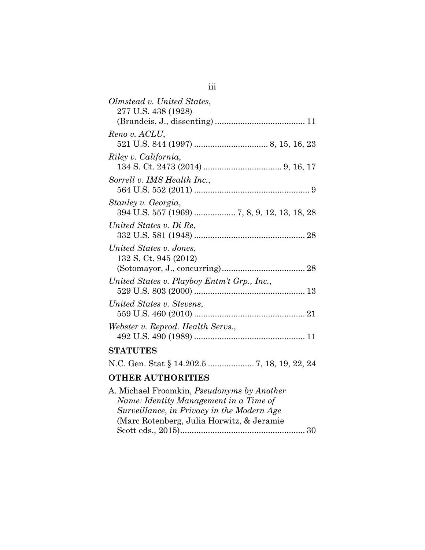| Olmstead v. United States,                  |
|---------------------------------------------|
| 277 U.S. 438 (1928)                         |
|                                             |
| Reno v. ACLU,                               |
|                                             |
| Riley v. California,                        |
|                                             |
| Sorrell v. IMS Health Inc.,                 |
|                                             |
| Stanley v. Georgia,                         |
|                                             |
| United States v. Di Re,                     |
|                                             |
| United States v. Jones,                     |
| 132 S. Ct. 945 (2012)                       |
|                                             |
| United States v. Playboy Entm't Grp., Inc., |
|                                             |
| United States v. Stevens,                   |
|                                             |
| Webster v. Reprod. Health Servs.,           |
|                                             |
| <b>STATUTES</b>                             |
|                                             |

# **OTHER AUTHORITIES**

| A. Michael Froomkin, <i>Pseudonyms by Another</i> |  |
|---------------------------------------------------|--|
| Name: Identity Management in a Time of            |  |
| Surveillance, in Privacy in the Modern Age        |  |
| (Marc Rotenberg, Julia Horwitz, & Jeramie         |  |
|                                                   |  |
|                                                   |  |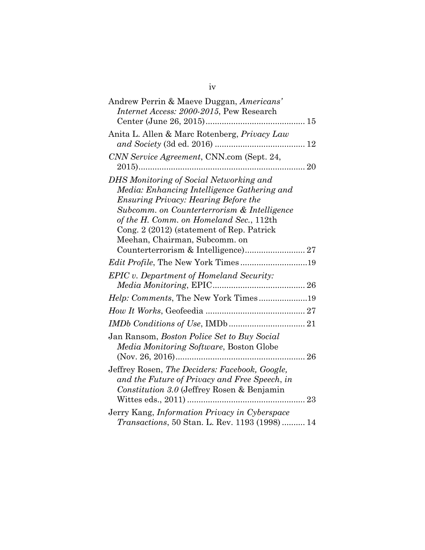| Andrew Perrin & Maeve Duggan, Americans'<br>Internet Access: 2000-2015, Pew Research                                                                                                                                                                                         |  |
|------------------------------------------------------------------------------------------------------------------------------------------------------------------------------------------------------------------------------------------------------------------------------|--|
| Anita L. Allen & Marc Rotenberg, Privacy Law                                                                                                                                                                                                                                 |  |
| CNN Service Agreement, CNN.com (Sept. 24,                                                                                                                                                                                                                                    |  |
| DHS Monitoring of Social Networking and<br>Media: Enhancing Intelligence Gathering and<br><b>Ensuring Privacy: Hearing Before the</b><br>Subcomm. on Counterterrorism & Intelligence<br>of the H. Comm. on Homeland Sec., 112th<br>Cong. 2 (2012) (statement of Rep. Patrick |  |
| Meehan, Chairman, Subcomm. on                                                                                                                                                                                                                                                |  |
| Edit Profile, The New York Times19                                                                                                                                                                                                                                           |  |
| EPIC v. Department of Homeland Security:                                                                                                                                                                                                                                     |  |
|                                                                                                                                                                                                                                                                              |  |
|                                                                                                                                                                                                                                                                              |  |
|                                                                                                                                                                                                                                                                              |  |
| Jan Ransom, Boston Police Set to Buy Social<br><i>Media Monitoring Software, Boston Globe</i>                                                                                                                                                                                |  |
| Jeffrey Rosen, The Deciders: Facebook, Google,<br>and the Future of Privacy and Free Speech, in<br>Constitution 3.0 (Jeffrey Rosen & Benjamin                                                                                                                                |  |
| Jerry Kang, Information Privacy in Cyberspace<br>Transactions, 50 Stan. L. Rev. 1193 (1998)  14                                                                                                                                                                              |  |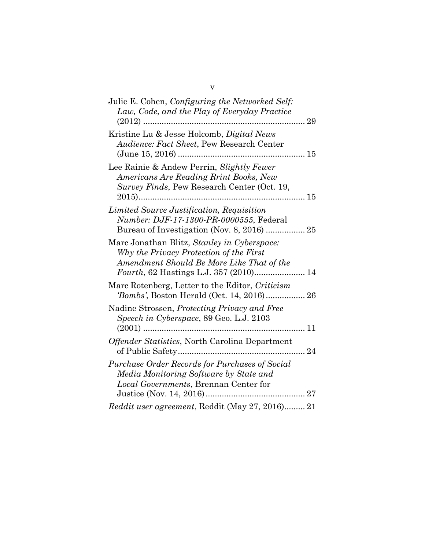| Fourth, 62 Hastings L.J. 357 (2010) 14                 |
|--------------------------------------------------------|
| 'Bombs', Boston Herald (Oct. 14, 2016) 26              |
| 11                                                     |
|                                                        |
|                                                        |
| <i>Reddit user agreement, Reddit (May 27, 2016) 21</i> |
|                                                        |

v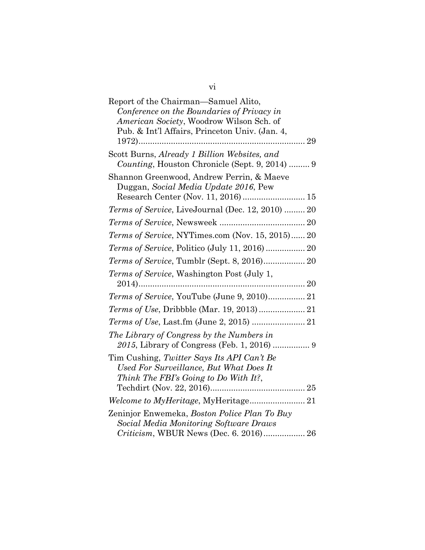| Report of the Chairman—Samuel Alito,                                                                                           |  |
|--------------------------------------------------------------------------------------------------------------------------------|--|
| Conference on the Boundaries of Privacy in                                                                                     |  |
| American Society, Woodrow Wilson Sch. of                                                                                       |  |
| Pub. & Int'l Affairs, Princeton Univ. (Jan. 4,                                                                                 |  |
| . 29                                                                                                                           |  |
| Scott Burns, Already 1 Billion Websites, and                                                                                   |  |
| Counting, Houston Chronicle (Sept. 9, 2014)  9                                                                                 |  |
| Shannon Greenwood, Andrew Perrin, & Maeve<br>Duggan, Social Media Update 2016, Pew                                             |  |
| Research Center (Nov. 11, 2016) 15                                                                                             |  |
| Terms of Service, LiveJournal (Dec. 12, 2010)  20                                                                              |  |
|                                                                                                                                |  |
| Terms of Service, NYTimes.com (Nov. 15, 2015) 20                                                                               |  |
| <i>Terms of Service</i> , Politico (July 11, 2016)  20                                                                         |  |
|                                                                                                                                |  |
|                                                                                                                                |  |
| <i>Terms of Service</i> , Washington Post (July 1,                                                                             |  |
| Terms of Service, YouTube (June 9, 2010) 21                                                                                    |  |
|                                                                                                                                |  |
|                                                                                                                                |  |
| The Library of Congress by the Numbers in<br>2015, Library of Congress (Feb. 1, 2016)  9                                       |  |
| Tim Cushing, Twitter Says Its API Can't Be<br>Used For Surveillance, But What Does It<br>Think The FBI's Going to Do With It?, |  |
|                                                                                                                                |  |
| Welcome to MyHeritage, MyHeritage 21                                                                                           |  |
| Zeninjor Enwemeka, Boston Police Plan To Buy                                                                                   |  |
| Social Media Monitoring Software Draws                                                                                         |  |

vi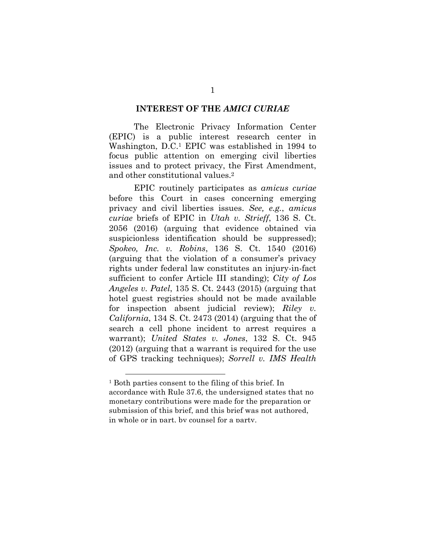#### **INTEREST OF THE** *AMICI CURIAE*

The Electronic Privacy Information Center (EPIC) is a public interest research center in Washington, D.C.1 EPIC was established in 1994 to focus public attention on emerging civil liberties issues and to protect privacy, the First Amendment, and other constitutional values.2

EPIC routinely participates as *amicus curiae* before this Court in cases concerning emerging privacy and civil liberties issues. *See, e.g.*, *amicus curiae* briefs of EPIC in *Utah v. Strieff*, 136 S. Ct. 2056 (2016) (arguing that evidence obtained via suspicionless identification should be suppressed); *Spokeo, Inc. v. Robins*, 136 S. Ct. 1540 (2016) (arguing that the violation of a consumer's privacy rights under federal law constitutes an injury-in-fact sufficient to confer Article III standing); *City of Los Angeles v. Patel*, 135 S. Ct. 2443 (2015) (arguing that hotel guest registries should not be made available for inspection absent judicial review); *Riley v. California*, 134 S. Ct. 2473 (2014) (arguing that the of search a cell phone incident to arrest requires a warrant); *United States v. Jones*, 132 S. Ct. 945 (2012) (arguing that a warrant is required for the use of GPS tracking techniques); *Sorrell v. IMS Health* 

 <sup>1</sup> Both parties consent to the filing of this brief. In accordance with Rule 37.6, the undersigned states that no monetary contributions were made for the preparation or submission of this brief, and this brief was not authored, in whole or in part, by counsel for a party.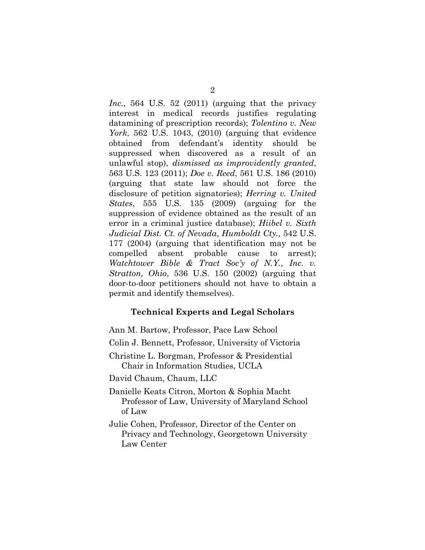*Inc.*, 564 U.S. 52 (2011) (arguing that the privacy interest in medical records justifies regulating datamining of prescription records); *Tolentino v. New York*, 562 U.S. 1043, (2010) (arguing that evidence obtained from defendant's identity should be suppressed when discovered as a result of an unlawful stop), *dismissed as improvidently granted*, 563 U.S. 123 (2011); *Doe v. Reed*, 561 U.S. 186 (2010) (arguing that state law should not force the disclosure of petition signatories); *Herring v. United States*, 555 U.S. 135 (2009) (arguing for the suppression of evidence obtained as the result of an error in a criminal justice database); *Hiibel v. Sixth Judicial Dist. Ct. of Nevada*, *Humboldt Cty.,* 542 U.S. 177 (2004) (arguing that identification may not be compelled absent probable cause to arrest); *Watchtower Bible & Tract Soc'y of N.Y., Inc. v. Stratton, Ohio*, 536 U.S. 150 (2002) (arguing that door-to-door petitioners should not have to obtain a permit and identify themselves).

#### **Technical Experts and Legal Scholars**

- Ann M. Bartow, Professor, Pace Law School
- Colin J. Bennett, Professor, University of Victoria
- Christine L. Borgman, Professor & Presidential Chair in Information Studies, UCLA
- David Chaum, Chaum, LLC
- Danielle Keats Citron, Morton & Sophia Macht Professor of Law, University of Maryland School of Law
- Julie Cohen, Professor, Director of the Center on Privacy and Technology, Georgetown University Law Center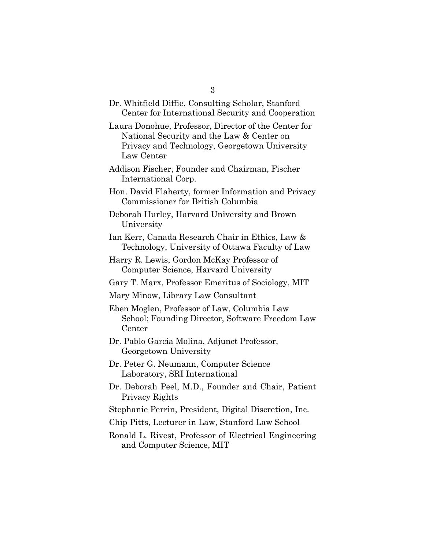| Dr. Whitfield Diffie, Consulting Scholar, Stanford<br>Center for International Security and Cooperation                                                          |
|------------------------------------------------------------------------------------------------------------------------------------------------------------------|
| Laura Donohue, Professor, Director of the Center for<br>National Security and the Law & Center on<br>Privacy and Technology, Georgetown University<br>Law Center |
| Addison Fischer, Founder and Chairman, Fischer<br>International Corp.                                                                                            |
| Hon. David Flaherty, former Information and Privacy<br>Commissioner for British Columbia                                                                         |
| Deborah Hurley, Harvard University and Brown<br>University                                                                                                       |
| Ian Kerr, Canada Research Chair in Ethics, Law &<br>Technology, University of Ottawa Faculty of Law                                                              |
| Harry R. Lewis, Gordon McKay Professor of<br>Computer Science, Harvard University                                                                                |
| Gary T. Marx, Professor Emeritus of Sociology, MIT                                                                                                               |
| Mary Minow, Library Law Consultant                                                                                                                               |
| Eben Moglen, Professor of Law, Columbia Law<br>School; Founding Director, Software Freedom Law<br>Center                                                         |
| Dr. Pablo Garcia Molina, Adjunct Professor,<br>Georgetown University                                                                                             |
| Dr. Peter G. Neumann, Computer Science<br>Laboratory, SRI International                                                                                          |
| Dr. Deborah Peel, M.D., Founder and Chair, Patient<br>Privacy Rights                                                                                             |
| Stephanie Perrin, President, Digital Discretion, Inc.                                                                                                            |
| Chip Pitts, Lecturer in Law, Stanford Law School                                                                                                                 |
| Ronald L. Rivest, Professor of Electrical Engineering                                                                                                            |

and Computer Science, MIT

3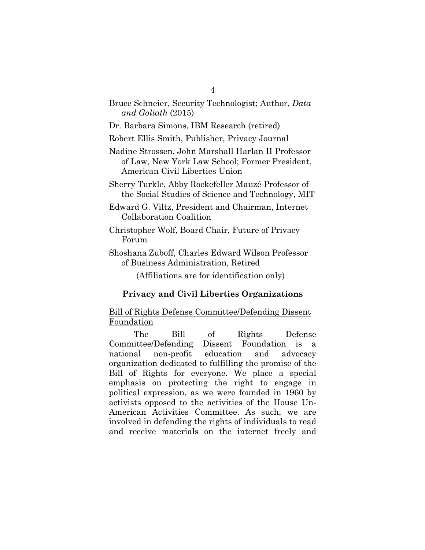- Bruce Schneier, Security Technologist; Author, *Data and Goliath* (2015)
- Dr. Barbara Simons, IBM Research (retired)
- Robert Ellis Smith, Publisher, Privacy Journal
- Nadine Strossen, John Marshall Harlan II Professor of Law, New York Law School; Former President, American Civil Liberties Union
- Sherry Turkle, Abby Rockefeller Mauzé Professor of the Social Studies of Science and Technology, MIT
- Edward G. Viltz, President and Chairman, Internet Collaboration Coalition
- Christopher Wolf, Board Chair, Future of Privacy Forum
- Shoshana Zuboff, Charles Edward Wilson Professor of Business Administration, Retired

(Affiliations are for identification only)

#### **Privacy and Civil Liberties Organizations**

#### Bill of Rights Defense Committee/Defending Dissent Foundation

The Bill of Rights Defense Committee/Defending Dissent Foundation is a national non-profit education and advocacy organization dedicated to fulfilling the promise of the Bill of Rights for everyone. We place a special emphasis on protecting the right to engage in political expression, as we were founded in 1960 by activists opposed to the activities of the House Un-American Activities Committee. As such, we are involved in defending the rights of individuals to read and receive materials on the internet freely and

4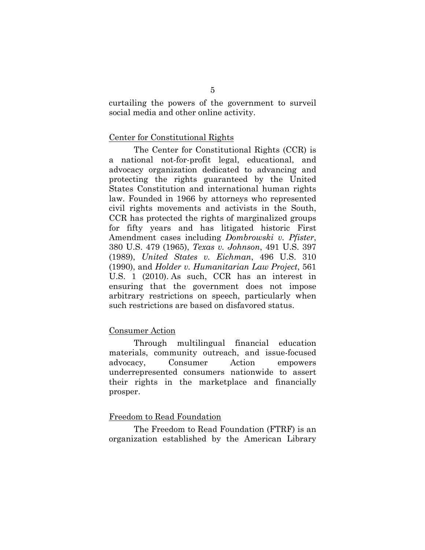curtailing the powers of the government to surveil social media and other online activity.

#### Center for Constitutional Rights

The Center for Constitutional Rights (CCR) is a national not-for-profit legal, educational, and advocacy organization dedicated to advancing and protecting the rights guaranteed by the United States Constitution and international human rights law. Founded in 1966 by attorneys who represented civil rights movements and activists in the South, CCR has protected the rights of marginalized groups for fifty years and has litigated historic First Amendment cases including *Dombrowski v. Pfister*, 380 U.S. 479 (1965), *Texas v. Johnson*, 491 U.S. 397 (1989), *United States v. Eichman*, 496 U.S. 310 (1990), and *Holder v. Humanitarian Law Project*, 561 U.S. 1 (2010). As such, CCR has an interest in ensuring that the government does not impose arbitrary restrictions on speech, particularly when such restrictions are based on disfavored status.

#### Consumer Action

Through multilingual financial education materials, community outreach, and issue-focused advocacy, Consumer Action empowers underrepresented consumers nationwide to assert their rights in the marketplace and financially prosper.

#### Freedom to Read Foundation

The Freedom to Read Foundation (FTRF) is an organization established by the American Library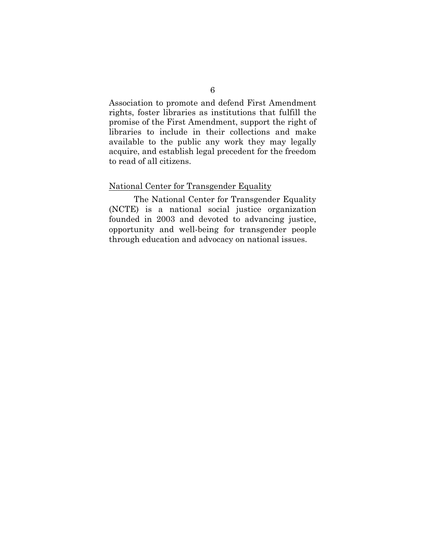Association to promote and defend First Amendment rights, foster libraries as institutions that fulfill the promise of the First Amendment, support the right of libraries to include in their collections and make available to the public any work they may legally acquire, and establish legal precedent for the freedom to read of all citizens.

#### National Center for Transgender Equality

The National Center for Transgender Equality (NCTE) is a national social justice organization founded in 2003 and devoted to advancing justice, opportunity and well-being for transgender people through education and advocacy on national issues.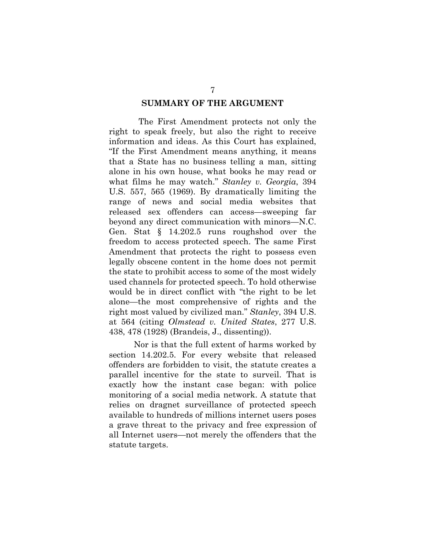#### **SUMMARY OF THE ARGUMENT**

The First Amendment protects not only the right to speak freely, but also the right to receive information and ideas. As this Court has explained, "If the First Amendment means anything, it means that a State has no business telling a man, sitting alone in his own house, what books he may read or what films he may watch." *Stanley v. Georgia*, 394 U.S. 557, 565 (1969). By dramatically limiting the range of news and social media websites that released sex offenders can access—sweeping far beyond any direct communication with minors—N.C. Gen. Stat § 14.202.5 runs roughshod over the freedom to access protected speech. The same First Amendment that protects the right to possess even legally obscene content in the home does not permit the state to prohibit access to some of the most widely used channels for protected speech. To hold otherwise would be in direct conflict with "the right to be let alone—the most comprehensive of rights and the right most valued by civilized man." *Stanley*, 394 U.S. at 564 (citing *Olmstead v. United States*, 277 U.S. 438, 478 (1928) (Brandeis, J., dissenting)).

Nor is that the full extent of harms worked by section 14.202.5. For every website that released offenders are forbidden to visit, the statute creates a parallel incentive for the state to surveil. That is exactly how the instant case began: with police monitoring of a social media network. A statute that relies on dragnet surveillance of protected speech available to hundreds of millions internet users poses a grave threat to the privacy and free expression of all Internet users—not merely the offenders that the statute targets.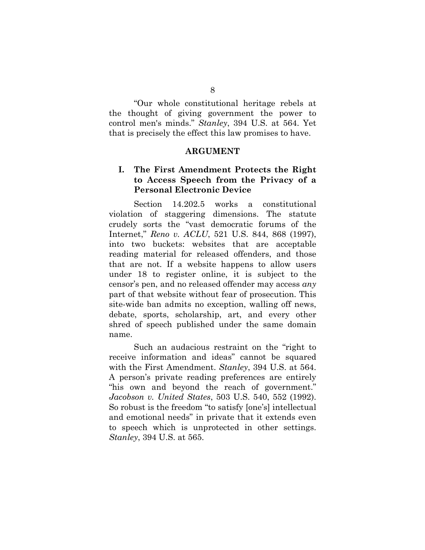"Our whole constitutional heritage rebels at the thought of giving government the power to control men's minds." *Stanley*, 394 U.S. at 564. Yet that is precisely the effect this law promises to have.

#### **ARGUMENT**

#### **I. The First Amendment Protects the Right to Access Speech from the Privacy of a Personal Electronic Device**

Section 14.202.5 works a constitutional violation of staggering dimensions. The statute crudely sorts the "vast democratic forums of the Internet," *Reno v. ACLU*, 521 U.S. 844, 868 (1997), into two buckets: websites that are acceptable reading material for released offenders, and those that are not. If a website happens to allow users under 18 to register online, it is subject to the censor's pen, and no released offender may access *any* part of that website without fear of prosecution. This site-wide ban admits no exception, walling off news, debate, sports, scholarship, art, and every other shred of speech published under the same domain name.

Such an audacious restraint on the "right to receive information and ideas" cannot be squared with the First Amendment. *Stanley*, 394 U.S. at 564. A person's private reading preferences are entirely "his own and beyond the reach of government." *Jacobson v. United States*, 503 U.S. 540, 552 (1992). So robust is the freedom "to satisfy [one's] intellectual and emotional needs" in private that it extends even to speech which is unprotected in other settings. *Stanley*, 394 U.S. at 565.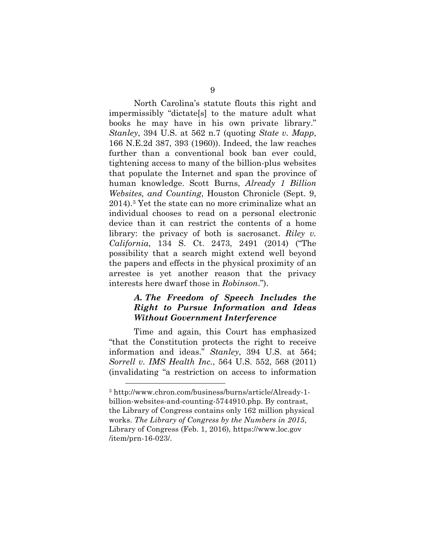North Carolina's statute flouts this right and impermissibly "dictate[s] to the mature adult what books he may have in his own private library." *Stanley*, 394 U.S. at 562 n.7 (quoting *State v. Mapp*, 166 N.E.2d 387, 393 (1960)). Indeed, the law reaches further than a conventional book ban ever could, tightening access to many of the billion-plus websites that populate the Internet and span the province of human knowledge. Scott Burns, *Already 1 Billion Websites, and Counting*, Houston Chronicle (Sept. 9, 2014).3 Yet the state can no more criminalize what an individual chooses to read on a personal electronic device than it can restrict the contents of a home library: the privacy of both is sacrosanct. *Riley v. California*, 134 S. Ct. 2473, 2491 (2014) ("The possibility that a search might extend well beyond the papers and effects in the physical proximity of an arrestee is yet another reason that the privacy interests here dwarf those in *Robinson*.").

## *A. The Freedom of Speech Includes the Right to Pursue Information and Ideas Without Government Interference*

Time and again, this Court has emphasized "that the Constitution protects the right to receive information and ideas." *Stanley*, 394 U.S. at 564; *Sorrell v. IMS Health Inc.*, 564 U.S. 552, 568 (2011) (invalidating "a restriction on access to information

 <sup>3</sup> http://www.chron.com/business/burns/article/Already-1 billion-websites-and-counting-5744910.php. By contrast, the Library of Congress contains only 162 million physical works. *The Library of Congress by the Numbers in 2015*, Library of Congress (Feb. 1, 2016), https://www.loc.gov /item/prn-16-023/.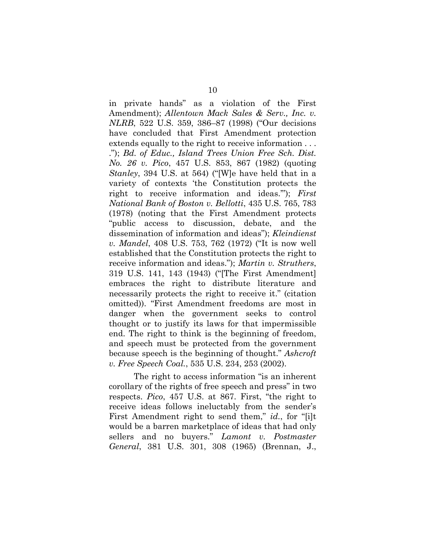in private hands" as a violation of the First Amendment); *Allentown Mack Sales & Serv., Inc. v. NLRB*, 522 U.S. 359, 386–87 (1998) ("Our decisions have concluded that First Amendment protection extends equally to the right to receive information . . . ."); *Bd. of Educ., Island Trees Union Free Sch. Dist. No. 26 v. Pico*, 457 U.S. 853, 867 (1982) (quoting *Stanley*, 394 U.S. at 564) ("[W]e have held that in a variety of contexts 'the Constitution protects the right to receive information and ideas.'"); *First National Bank of Boston v. Bellotti*, 435 U.S. 765, 783 (1978) (noting that the First Amendment protects "public access to discussion, debate, and the dissemination of information and ideas"); *Kleindienst v. Mandel*, 408 U.S. 753, 762 (1972) ("It is now well established that the Constitution protects the right to receive information and ideas."); *Martin v. Struthers*, 319 U.S. 141, 143 (1943) ("[The First Amendment] embraces the right to distribute literature and necessarily protects the right to receive it." (citation omitted)). "First Amendment freedoms are most in danger when the government seeks to control thought or to justify its laws for that impermissible end. The right to think is the beginning of freedom, and speech must be protected from the government because speech is the beginning of thought." *Ashcroft v. Free Speech Coal.*, 535 U.S. 234, 253 (2002).

The right to access information "is an inherent corollary of the rights of free speech and press" in two respects. *Pico*, 457 U.S. at 867. First, "the right to receive ideas follows ineluctably from the sender's First Amendment right to send them," *id.*, for "[i]t would be a barren marketplace of ideas that had only sellers and no buyers." *Lamont v. Postmaster General*, 381 U.S. 301, 308 (1965) (Brennan, J.,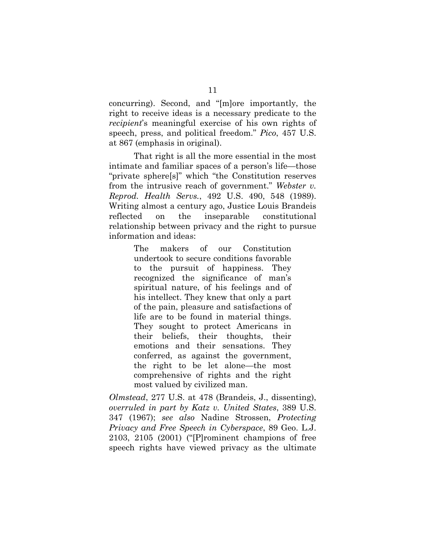concurring). Second, and "[m]ore importantly, the right to receive ideas is a necessary predicate to the *recipient*'s meaningful exercise of his own rights of speech, press, and political freedom." *Pico*, 457 U.S. at 867 (emphasis in original).

That right is all the more essential in the most intimate and familiar spaces of a person's life—those "private sphere[s]" which "the Constitution reserves from the intrusive reach of government." *Webster v. Reprod. Health Servs.*, 492 U.S. 490, 548 (1989). Writing almost a century ago, Justice Louis Brandeis reflected on the inseparable constitutional relationship between privacy and the right to pursue information and ideas:

> The makers of our Constitution undertook to secure conditions favorable to the pursuit of happiness. They recognized the significance of man's spiritual nature, of his feelings and of his intellect. They knew that only a part of the pain, pleasure and satisfactions of life are to be found in material things. They sought to protect Americans in their beliefs, their thoughts, their emotions and their sensations. They conferred, as against the government, the right to be let alone—the most comprehensive of rights and the right most valued by civilized man.

*Olmstead*, 277 U.S. at 478 (Brandeis, J., dissenting), *overruled in part by Katz v. United States*, 389 U.S. 347 (1967); *see also* Nadine Strossen, *Protecting Privacy and Free Speech in Cyberspace*, 89 Geo. L.J. 2103, 2105 (2001) ("[P]rominent champions of free speech rights have viewed privacy as the ultimate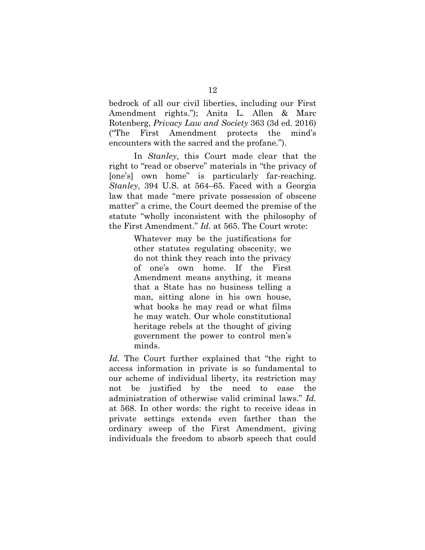bedrock of all our civil liberties, including our First Amendment rights."); Anita L. Allen & Marc Rotenberg, *Privacy Law and Society* 363 (3d ed. 2016) ("The First Amendment protects the mind's encounters with the sacred and the profane.").

In *Stanley*, this Court made clear that the right to "read or observe" materials in "the privacy of [one's] own home" is particularly far-reaching. *Stanley*, 394 U.S. at 564–65. Faced with a Georgia law that made "mere private possession of obscene matter" a crime, the Court deemed the premise of the statute "wholly inconsistent with the philosophy of the First Amendment." *Id.* at 565. The Court wrote:

> Whatever may be the justifications for other statutes regulating obscenity, we do not think they reach into the privacy of one's own home. If the First Amendment means anything, it means that a State has no business telling a man, sitting alone in his own house, what books he may read or what films he may watch. Our whole constitutional heritage rebels at the thought of giving government the power to control men's minds.

*Id.* The Court further explained that "the right to access information in private is so fundamental to our scheme of individual liberty, its restriction may not be justified by the need to ease the administration of otherwise valid criminal laws." *Id.* at 568. In other words: the right to receive ideas in private settings extends even farther than the ordinary sweep of the First Amendment, giving individuals the freedom to absorb speech that could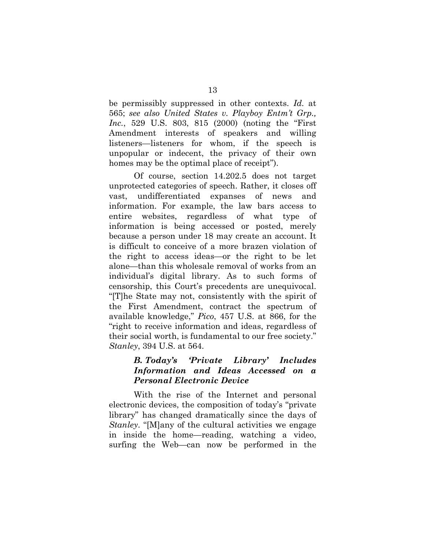be permissibly suppressed in other contexts. *Id.* at 565; *see also United States v. Playboy Entm't Grp., Inc.*, 529 U.S. 803, 815 (2000) (noting the "First Amendment interests of speakers and willing listeners—listeners for whom, if the speech is unpopular or indecent, the privacy of their own homes may be the optimal place of receipt").

Of course, section 14.202.5 does not target unprotected categories of speech. Rather, it closes off vast, undifferentiated expanses of news and information. For example, the law bars access to entire websites, regardless of what type of information is being accessed or posted, merely because a person under 18 may create an account. It is difficult to conceive of a more brazen violation of the right to access ideas—or the right to be let alone—than this wholesale removal of works from an individual's digital library. As to such forms of censorship, this Court's precedents are unequivocal. "[T]he State may not, consistently with the spirit of the First Amendment, contract the spectrum of available knowledge," *Pico*, 457 U.S. at 866, for the "right to receive information and ideas, regardless of their social worth, is fundamental to our free society." *Stanley*, 394 U.S. at 564.

## *B. Today's 'Private Library' Includes Information and Ideas Accessed on a Personal Electronic Device*

With the rise of the Internet and personal electronic devices, the composition of today's "private library" has changed dramatically since the days of *Stanley*. "[M]any of the cultural activities we engage in inside the home—reading, watching a video, surfing the Web—can now be performed in the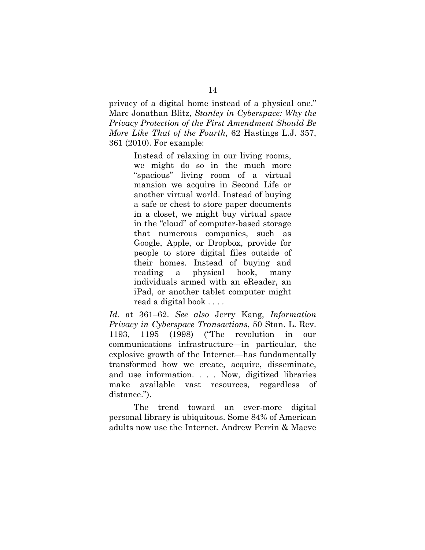privacy of a digital home instead of a physical one." Marc Jonathan Blitz, *Stanley in Cyberspace: Why the Privacy Protection of the First Amendment Should Be More Like That of the Fourth*, 62 Hastings L.J. 357, 361 (2010). For example:

> Instead of relaxing in our living rooms, we might do so in the much more "spacious" living room of a virtual mansion we acquire in Second Life or another virtual world. Instead of buying a safe or chest to store paper documents in a closet, we might buy virtual space in the "cloud" of computer-based storage that numerous companies, such as Google, Apple, or Dropbox, provide for people to store digital files outside of their homes. Instead of buying and reading a physical book, many individuals armed with an eReader, an iPad, or another tablet computer might read a digital book . . . .

*Id.* at 361–62. *See also* Jerry Kang, *Information Privacy in Cyberspace Transactions*, 50 Stan. L. Rev. 1193, 1195 (1998) ("The revolution in our communications infrastructure—in particular, the explosive growth of the Internet—has fundamentally transformed how we create, acquire, disseminate, and use information. . . . Now, digitized libraries make available vast resources, regardless of distance.").

The trend toward an ever-more digital personal library is ubiquitous. Some 84% of American adults now use the Internet. Andrew Perrin & Maeve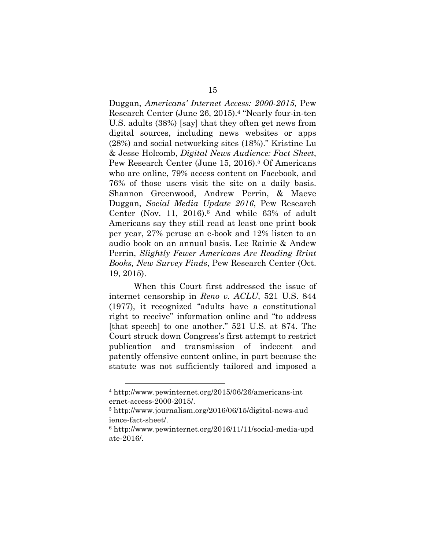Duggan, *Americans' Internet Access: 2000-2015*, Pew Research Center (June 26, 2015).4 "Nearly four-in-ten U.S. adults (38%) [say] that they often get news from digital sources, including news websites or apps (28%) and social networking sites (18%)." Kristine Lu & Jesse Holcomb, *Digital News Audience: Fact Sheet*, Pew Research Center (June 15, 2016).<sup>5</sup> Of Americans who are online, 79% access content on Facebook, and 76% of those users visit the site on a daily basis. Shannon Greenwood, Andrew Perrin, & Maeve Duggan, *Social Media Update 2016*, Pew Research Center (Nov. 11, 2016).<sup>6</sup> And while  $63\%$  of adult Americans say they still read at least one print book per year, 27% peruse an e-book and 12% listen to an audio book on an annual basis. Lee Rainie & Andew Perrin, *Slightly Fewer Americans Are Reading Rrint Books, New Survey Finds*, Pew Research Center (Oct. 19, 2015).

When this Court first addressed the issue of internet censorship in *Reno v. ACLU*, 521 U.S. 844 (1977), it recognized "adults have a constitutional right to receive" information online and "to address [that speech] to one another." 521 U.S. at 874. The Court struck down Congress's first attempt to restrict publication and transmission of indecent and patently offensive content online, in part because the statute was not sufficiently tailored and imposed a

 <sup>4</sup> http://www.pewinternet.org/2015/06/26/americans-int ernet-access-2000-2015/.

<sup>5</sup> http://www.journalism.org/2016/06/15/digital-news-aud ience-fact-sheet/.

<sup>6</sup> http://www.pewinternet.org/2016/11/11/social-media-upd ate-2016/.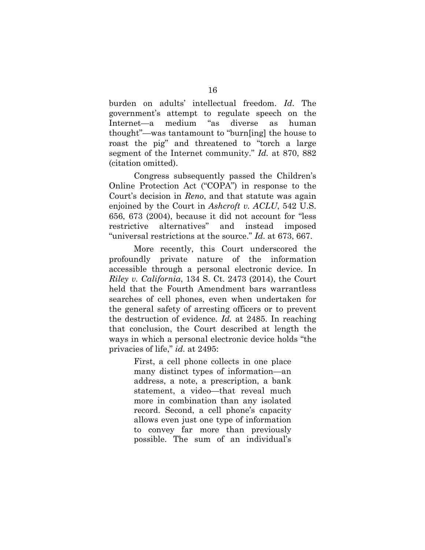burden on adults' intellectual freedom. *Id*. The government's attempt to regulate speech on the Internet—a medium "as diverse as human thought"—was tantamount to "burn[ing] the house to roast the pig" and threatened to "torch a large segment of the Internet community." *Id.* at 870, 882 (citation omitted).

Congress subsequently passed the Children's Online Protection Act ("COPA") in response to the Court's decision in *Reno*, and that statute was again enjoined by the Court in *Ashcroft v. ACLU*, 542 U.S. 656, 673 (2004), because it did not account for "less restrictive alternatives" and instead imposed "universal restrictions at the source." *Id*. at 673, 667.

More recently, this Court underscored the profoundly private nature of the information accessible through a personal electronic device. In *Riley v. California*, 134 S. Ct. 2473 (2014), the Court held that the Fourth Amendment bars warrantless searches of cell phones, even when undertaken for the general safety of arresting officers or to prevent the destruction of evidence. *Id.* at 2485. In reaching that conclusion, the Court described at length the ways in which a personal electronic device holds "the privacies of life," *id.* at 2495:

> First, a cell phone collects in one place many distinct types of information—an address, a note, a prescription, a bank statement, a video—that reveal much more in combination than any isolated record. Second, a cell phone's capacity allows even just one type of information to convey far more than previously possible. The sum of an individual's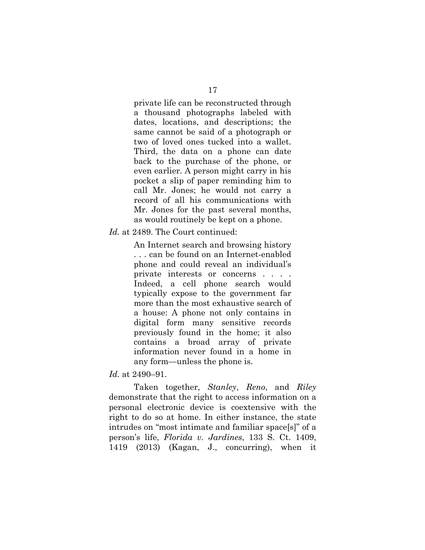private life can be reconstructed through a thousand photographs labeled with dates, locations, and descriptions; the same cannot be said of a photograph or two of loved ones tucked into a wallet. Third, the data on a phone can date back to the purchase of the phone, or even earlier. A person might carry in his pocket a slip of paper reminding him to call Mr. Jones; he would not carry a record of all his communications with Mr. Jones for the past several months, as would routinely be kept on a phone.

*Id.* at 2489. The Court continued:

An Internet search and browsing history . . . can be found on an Internet-enabled phone and could reveal an individual's private interests or concerns . . . . Indeed, a cell phone search would typically expose to the government far more than the most exhaustive search of a house: A phone not only contains in digital form many sensitive records previously found in the home; it also contains a broad array of private information never found in a home in any form—unless the phone is.

*Id.* at 2490–91.

Taken together, *Stanley*, *Reno*, and *Riley* demonstrate that the right to access information on a personal electronic device is coextensive with the right to do so at home. In either instance, the state intrudes on "most intimate and familiar space[s]" of a person's life, *Florida v. Jardines*, 133 S. Ct. 1409, 1419 (2013) (Kagan, J., concurring), when it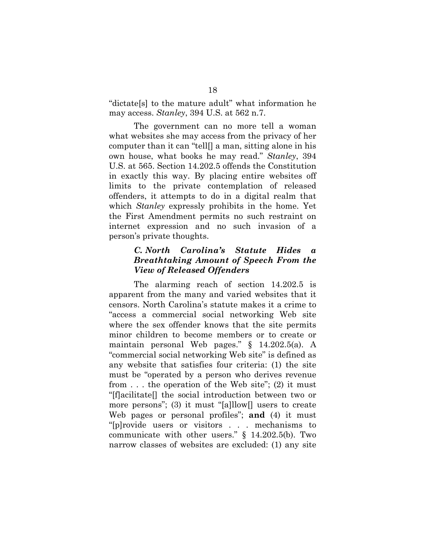"dictate[s] to the mature adult" what information he may access. *Stanley*, 394 U.S. at 562 n.7.

The government can no more tell a woman what websites she may access from the privacy of her computer than it can "tell[] a man, sitting alone in his own house, what books he may read." *Stanley*, 394 U.S. at 565. Section 14.202.5 offends the Constitution in exactly this way. By placing entire websites off limits to the private contemplation of released offenders, it attempts to do in a digital realm that which *Stanley* expressly prohibits in the home. Yet the First Amendment permits no such restraint on internet expression and no such invasion of a person's private thoughts.

### *C. North Carolina's Statute Hides a Breathtaking Amount of Speech From the View of Released Offenders*

The alarming reach of section 14.202.5 is apparent from the many and varied websites that it censors. North Carolina's statute makes it a crime to "access a commercial social networking Web site where the sex offender knows that the site permits minor children to become members or to create or maintain personal Web pages." § 14.202.5(a). A "commercial social networking Web site" is defined as any website that satisfies four criteria: (1) the site must be "operated by a person who derives revenue from . . . the operation of the Web site"; (2) it must "[f]acilitate[] the social introduction between two or more persons"; (3) it must "[a]llow[] users to create Web pages or personal profiles"; **and** (4) it must "[p]rovide users or visitors . . . mechanisms to communicate with other users." § 14.202.5(b). Two narrow classes of websites are excluded: (1) any site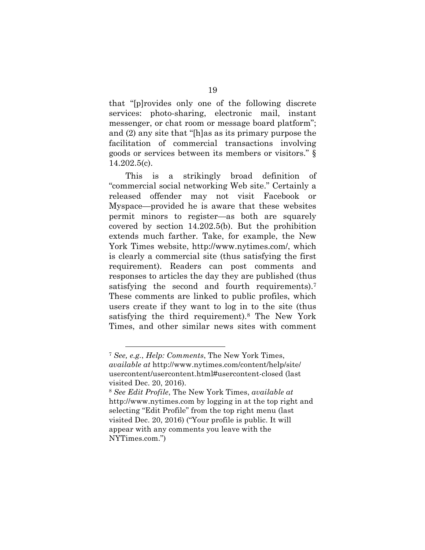that "[p]rovides only one of the following discrete services: photo-sharing, electronic mail, instant messenger, or chat room or message board platform"; and (2) any site that "[h]as as its primary purpose the facilitation of commercial transactions involving goods or services between its members or visitors." § 14.202.5(c).

This is a strikingly broad definition of "commercial social networking Web site." Certainly a released offender may not visit Facebook or Myspace—provided he is aware that these websites permit minors to register—as both are squarely covered by section 14.202.5(b). But the prohibition extends much farther. Take, for example, the New York Times website, http://www.nytimes.com/, which is clearly a commercial site (thus satisfying the first requirement). Readers can post comments and responses to articles the day they are published (thus satisfying the second and fourth requirements).<sup>7</sup> These comments are linked to public profiles, which users create if they want to log in to the site (thus satisfying the third requirement).8 The New York Times, and other similar news sites with comment

 <sup>7</sup> *See, e.g.*, *Help: Comments*, The New York Times, *available at* http://www.nytimes.com/content/help/site/ usercontent/usercontent.html#usercontent-closed (last visited Dec. 20, 2016).

<sup>8</sup> *See Edit Profile*, The New York Times, *available at*  http://www.nytimes.com by logging in at the top right and selecting "Edit Profile" from the top right menu (last visited Dec. 20, 2016) ("Your profile is public. It will appear with any comments you leave with the NYTimes.com.")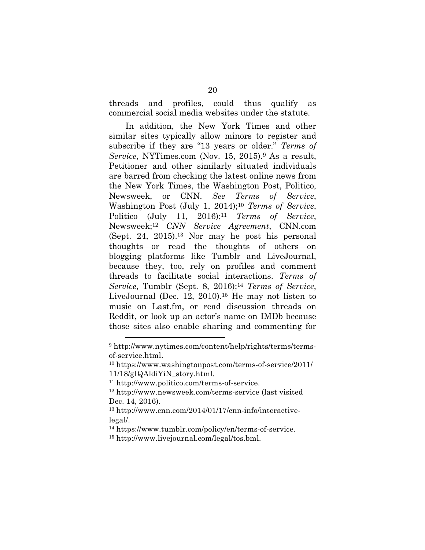threads and profiles, could thus qualify as commercial social media websites under the statute.

In addition, the New York Times and other similar sites typically allow minors to register and subscribe if they are "13 years or older." *Terms of Service*, NYTimes.com (Nov. 15, 2015).9 As a result, Petitioner and other similarly situated individuals are barred from checking the latest online news from the New York Times, the Washington Post, Politico, Newsweek, or CNN. *See Terms of Service*, Washington Post (July 1, 2014);10 *Terms of Service*, Politico (July 11, 2016);11 *Terms of Service*, Newsweek;12 *CNN Service Agreement*, CNN.com (Sept. 24, 2015).13 Nor may he post his personal thoughts—or read the thoughts of others—on blogging platforms like Tumblr and LiveJournal, because they, too, rely on profiles and comment threads to facilitate social interactions. *Terms of Service*, Tumblr (Sept. 8, 2016);14 *Terms of Service*, LiveJournal (Dec. 12, 2010).15 He may not listen to music on Last.fm, or read discussion threads on Reddit, or look up an actor's name on IMDb because those sites also enable sharing and commenting for

 <sup>9</sup> http://www.nytimes.com/content/help/rights/terms/termsof-service.html.

<sup>10</sup> https://www.washingtonpost.com/terms-of-service/2011/ 11/18/gIQAldiYiN\_story.html.

<sup>11</sup> http://www.politico.com/terms-of-service.

<sup>12</sup> http://www.newsweek.com/terms-service (last visited Dec. 14, 2016).

<sup>13</sup> http://www.cnn.com/2014/01/17/cnn-info/interactivelegal/.

<sup>14</sup> https://www.tumblr.com/policy/en/terms-of-service.

<sup>15</sup> http://www.livejournal.com/legal/tos.bml.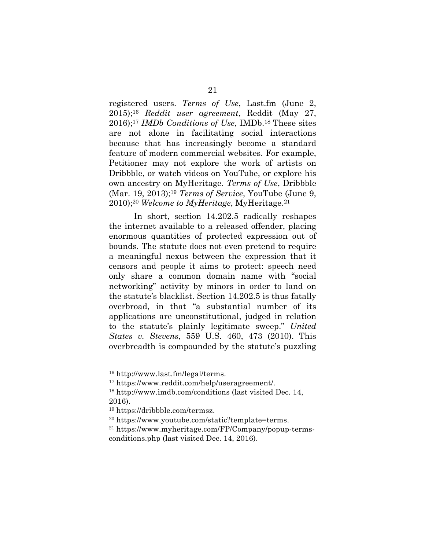registered users. *Terms of Use*, Last.fm (June 2, 2015);16 *Reddit user agreement*, Reddit (May 27, 2016);17 *IMDb Conditions of Use*, IMDb.18 These sites are not alone in facilitating social interactions because that has increasingly become a standard feature of modern commercial websites. For example, Petitioner may not explore the work of artists on Dribbble, or watch videos on YouTube, or explore his own ancestry on MyHeritage. *Terms of Use*, Dribbble (Mar. 19, 2013);19 *Terms of Service*, YouTube (June 9, 2010);20 *Welcome to MyHeritage*, MyHeritage.21

In short, section 14.202.5 radically reshapes the internet available to a released offender, placing enormous quantities of protected expression out of bounds. The statute does not even pretend to require a meaningful nexus between the expression that it censors and people it aims to protect: speech need only share a common domain name with "social networking" activity by minors in order to land on the statute's blacklist. Section 14.202.5 is thus fatally overbroad, in that "a substantial number of its applications are unconstitutional, judged in relation to the statute's plainly legitimate sweep." *United States v. Stevens*, 559 U.S. 460, 473 (2010). This overbreadth is compounded by the statute's puzzling

 <sup>16</sup> http://www.last.fm/legal/terms.

<sup>17</sup> https://www.reddit.com/help/useragreement/.

<sup>18</sup> http://www.imdb.com/conditions (last visited Dec. 14, 2016).

<sup>19</sup> https://dribbble.com/termsz.

<sup>20</sup> https://www.youtube.com/static?template=terms.

<sup>21</sup> https://www.myheritage.com/FP/Company/popup-termsconditions.php (last visited Dec. 14, 2016).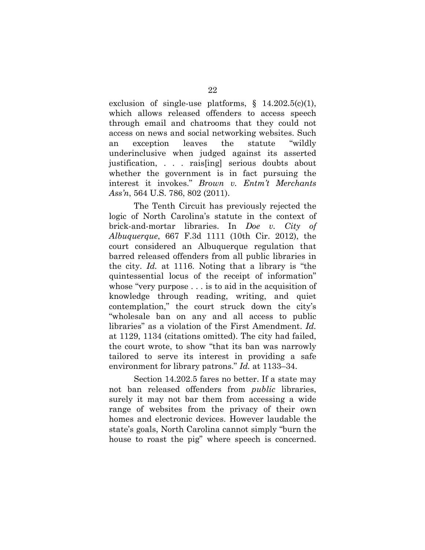exclusion of single-use platforms,  $\S$  14.202.5(c)(1), which allows released offenders to access speech through email and chatrooms that they could not access on news and social networking websites. Such an exception leaves the statute "wildly underinclusive when judged against its asserted justification, . . . rais[ing] serious doubts about whether the government is in fact pursuing the interest it invokes." *Brown v. Entm't Merchants Ass'n*, 564 U.S. 786, 802 (2011).

The Tenth Circuit has previously rejected the logic of North Carolina's statute in the context of brick-and-mortar libraries. In *Doe v. City of Albuquerque*, 667 F.3d 1111 (10th Cir. 2012), the court considered an Albuquerque regulation that barred released offenders from all public libraries in the city. *Id.* at 1116. Noting that a library is "the quintessential locus of the receipt of information" whose "very purpose . . . is to aid in the acquisition of knowledge through reading, writing, and quiet contemplation," the court struck down the city's "wholesale ban on any and all access to public libraries" as a violation of the First Amendment. *Id.*  at 1129, 1134 (citations omitted). The city had failed, the court wrote, to show "that its ban was narrowly tailored to serve its interest in providing a safe environment for library patrons." *Id.* at 1133–34.

Section 14.202.5 fares no better. If a state may not ban released offenders from *public* libraries, surely it may not bar them from accessing a wide range of websites from the privacy of their own homes and electronic devices. However laudable the state's goals, North Carolina cannot simply "burn the house to roast the pig" where speech is concerned.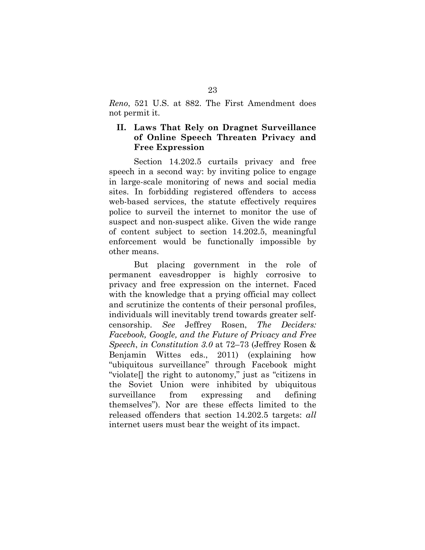*Reno*, 521 U.S. at 882. The First Amendment does not permit it.

### **II. Laws That Rely on Dragnet Surveillance of Online Speech Threaten Privacy and Free Expression**

Section 14.202.5 curtails privacy and free speech in a second way: by inviting police to engage in large-scale monitoring of news and social media sites. In forbidding registered offenders to access web-based services, the statute effectively requires police to surveil the internet to monitor the use of suspect and non-suspect alike. Given the wide range of content subject to section 14.202.5, meaningful enforcement would be functionally impossible by other means.

But placing government in the role of permanent eavesdropper is highly corrosive to privacy and free expression on the internet. Faced with the knowledge that a prying official may collect and scrutinize the contents of their personal profiles, individuals will inevitably trend towards greater selfcensorship. *See* Jeffrey Rosen, *The Deciders: Facebook, Google, and the Future of Privacy and Free Speech*, *in Constitution 3.0* at 72–73 (Jeffrey Rosen & Benjamin Wittes eds., 2011) (explaining how "ubiquitous surveillance" through Facebook might "violate[] the right to autonomy," just as "citizens in the Soviet Union were inhibited by ubiquitous surveillance from expressing and defining themselves"). Nor are these effects limited to the released offenders that section 14.202.5 targets: *all* internet users must bear the weight of its impact.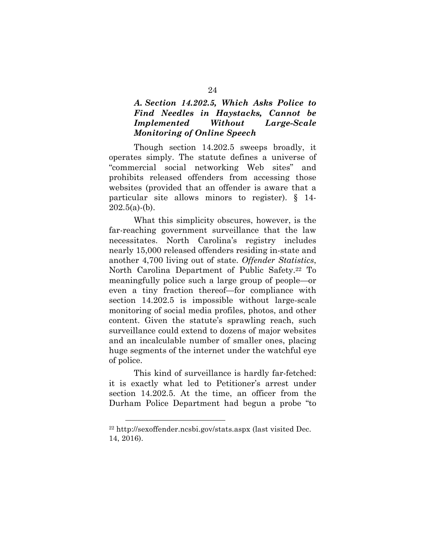# *A. Section 14.202.5, Which Asks Police to Find Needles in Haystacks, Cannot be Implemented Without Large-Scale Monitoring of Online Speech*

Though section 14.202.5 sweeps broadly, it operates simply. The statute defines a universe of "commercial social networking Web sites" and prohibits released offenders from accessing those websites (provided that an offender is aware that a particular site allows minors to register). § 14-  $202.5(a)-(b)$ .

What this simplicity obscures, however, is the far-reaching government surveillance that the law necessitates. North Carolina's registry includes nearly 15,000 released offenders residing in-state and another 4,700 living out of state. *Offender Statistics*, North Carolina Department of Public Safety.22 To meaningfully police such a large group of people—or even a tiny fraction thereof—for compliance with section 14.202.5 is impossible without large-scale monitoring of social media profiles, photos, and other content. Given the statute's sprawling reach, such surveillance could extend to dozens of major websites and an incalculable number of smaller ones, placing huge segments of the internet under the watchful eye of police.

This kind of surveillance is hardly far-fetched: it is exactly what led to Petitioner's arrest under section 14.202.5. At the time, an officer from the Durham Police Department had begun a probe "to

 <sup>22</sup> http://sexoffender.ncsbi.gov/stats.aspx (last visited Dec. 14, 2016).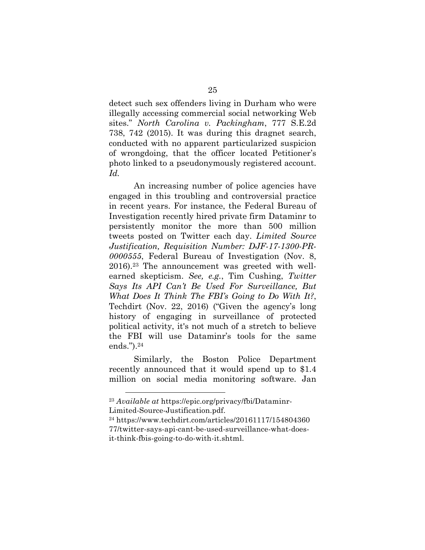detect such sex offenders living in Durham who were illegally accessing commercial social networking Web sites." *North Carolina v. Packingham*, 777 S.E.2d 738, 742 (2015). It was during this dragnet search, conducted with no apparent particularized suspicion of wrongdoing, that the officer located Petitioner's photo linked to a pseudonymously registered account. *Id.*

An increasing number of police agencies have engaged in this troubling and controversial practice in recent years. For instance, the Federal Bureau of Investigation recently hired private firm Dataminr to persistently monitor the more than 500 million tweets posted on Twitter each day. *Limited Source Justification, Requisition Number: DJF-17-1300-PR-0000555*, Federal Bureau of Investigation (Nov. 8, 2016).23 The announcement was greeted with wellearned skepticism. *See, e.g.*, Tim Cushing, *Twitter Says Its API Can't Be Used For Surveillance, But What Does It Think The FBI's Going to Do With It?*, Techdirt (Nov. 22, 2016) ("Given the agency's long history of engaging in surveillance of protected political activity, it's not much of a stretch to believe the FBI will use Dataminr's tools for the same ends.").24

Similarly, the Boston Police Department recently announced that it would spend up to \$1.4 million on social media monitoring software. Jan

Limited-Source-Justification.pdf.

 <sup>23</sup> *Available at* https://epic.org/privacy/fbi/Dataminr-

<sup>24</sup> https://www.techdirt.com/articles/20161117/154804360 77/twitter-says-api-cant-be-used-surveillance-what-doesit-think-fbis-going-to-do-with-it.shtml.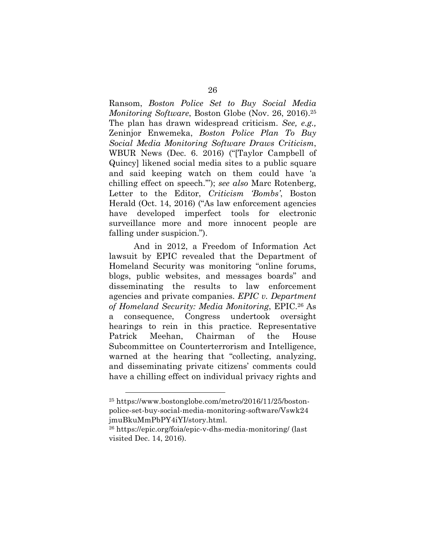Ransom, *Boston Police Set to Buy Social Media Monitoring Software*, Boston Globe (Nov. 26, 2016).25 The plan has drawn widespread criticism. *See, e.g.,* Zeninjor Enwemeka, *Boston Police Plan To Buy Social Media Monitoring Software Draws Criticism*, WBUR News (Dec. 6. 2016) ("[Taylor Campbell of Quincy] likened social media sites to a public square and said keeping watch on them could have 'a chilling effect on speech.'"); *see also* Marc Rotenberg, Letter to the Editor, *Criticism 'Bombs'*, Boston Herald (Oct. 14, 2016) ("As law enforcement agencies have developed imperfect tools for electronic surveillance more and more innocent people are falling under suspicion.").

And in 2012, a Freedom of Information Act lawsuit by EPIC revealed that the Department of Homeland Security was monitoring "online forums, blogs, public websites, and messages boards" and disseminating the results to law enforcement agencies and private companies. *EPIC v. Department of Homeland Security: Media Monitoring*, EPIC.26 As a consequence, Congress undertook oversight hearings to rein in this practice. Representative Patrick Meehan, Chairman of the House Subcommittee on Counterterrorism and Intelligence, warned at the hearing that "collecting, analyzing, and disseminating private citizens' comments could have a chilling effect on individual privacy rights and

 <sup>25</sup> https://www.bostonglobe.com/metro/2016/11/25/bostonpolice-set-buy-social-media-monitoring-software/Vswk24 jmuBkuMmPbPY4iYI/story.html.

<sup>26</sup> https://epic.org/foia/epic-v-dhs-media-monitoring/ (last visited Dec. 14, 2016).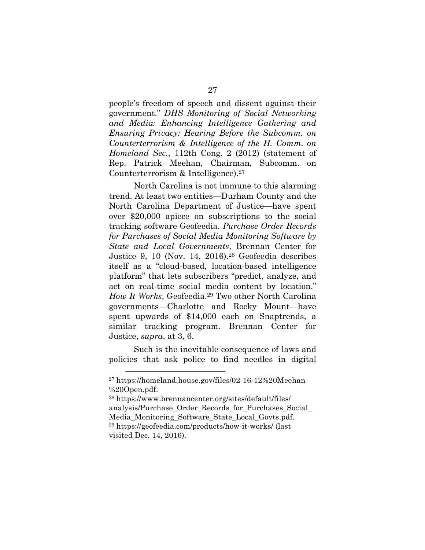people's freedom of speech and dissent against their government." *DHS Monitoring of Social Networking and Media: Enhancing Intelligence Gathering and Ensuring Privacy: Hearing Before the Subcomm. on Counterterrorism & Intelligence of the H. Comm. on Homeland Sec.*, 112th Cong. 2 (2012) (statement of Rep. Patrick Meehan, Chairman, Subcomm. on Counterterrorism & Intelligence).27

North Carolina is not immune to this alarming trend. At least two entities—Durham County and the North Carolina Department of Justice—have spent over \$20,000 apiece on subscriptions to the social tracking software Geofeedia. *Purchase Order Records for Purchases of Social Media Monitoring Software by State and Local Governments*, Brennan Center for Justice 9, 10 (Nov. 14, 2016).28 Geofeedia describes itself as a "cloud-based, location-based intelligence platform" that lets subscribers "predict, analyze, and act on real-time social media content by location." *How It Works*, Geofeedia.29 Two other North Carolina governments—Charlotte and Rocky Mount—have spent upwards of \$14,000 each on Snaptrends, a similar tracking program. Brennan Center for Justice, *supra*, at 3, 6.

Such is the inevitable consequence of laws and policies that ask police to find needles in digital

 <sup>27</sup> https://homeland.house.gov/files/02-16-12%20Meehan %20Open.pdf.

<sup>28</sup> https://www.brennancenter.org/sites/default/files/ analysis/Purchase\_Order\_Records\_for\_Purchases\_Social\_ Media\_Monitoring\_Software\_State\_Local\_Govts.pdf. <sup>29</sup> https://geofeedia.com/products/how-it-works/ (last visited Dec. 14, 2016).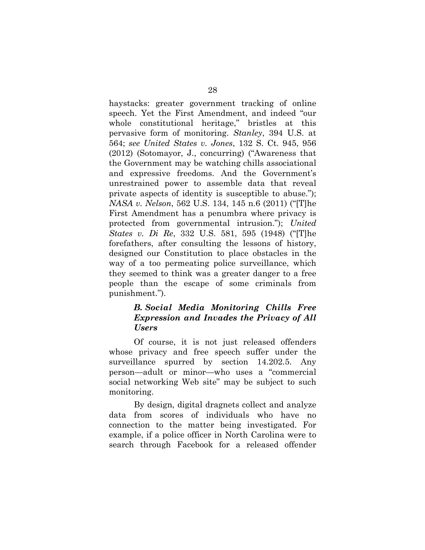haystacks: greater government tracking of online speech. Yet the First Amendment, and indeed "our whole constitutional heritage," bristles at this pervasive form of monitoring. *Stanley*, 394 U.S. at 564; *see United States v. Jones*, 132 S. Ct. 945, 956 (2012) (Sotomayor, J., concurring) ("Awareness that the Government may be watching chills associational and expressive freedoms. And the Government's unrestrained power to assemble data that reveal private aspects of identity is susceptible to abuse."); *NASA v. Nelson*, 562 U.S. 134, 145 n.6 (2011) ("[T]he First Amendment has a penumbra where privacy is protected from governmental intrusion."); *United States v. Di Re*, 332 U.S. 581, 595 (1948) ("[T]he forefathers, after consulting the lessons of history, designed our Constitution to place obstacles in the way of a too permeating police surveillance, which they seemed to think was a greater danger to a free people than the escape of some criminals from punishment.").

### *B. Social Media Monitoring Chills Free Expression and Invades the Privacy of All Users*

Of course, it is not just released offenders whose privacy and free speech suffer under the surveillance spurred by section 14.202.5. Any person—adult or minor—who uses a "commercial social networking Web site" may be subject to such monitoring.

By design, digital dragnets collect and analyze data from scores of individuals who have no connection to the matter being investigated. For example, if a police officer in North Carolina were to search through Facebook for a released offender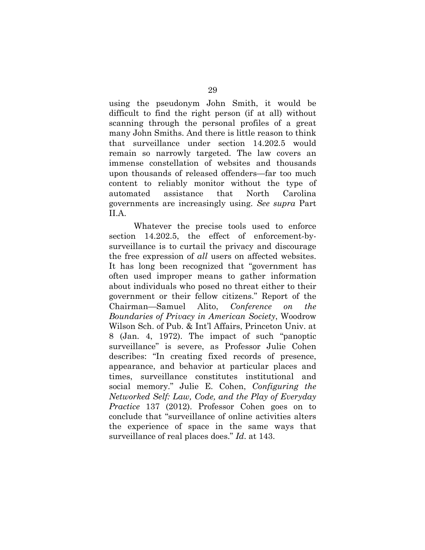using the pseudonym John Smith, it would be difficult to find the right person (if at all) without scanning through the personal profiles of a great many John Smiths. And there is little reason to think that surveillance under section 14.202.5 would remain so narrowly targeted. The law covers an immense constellation of websites and thousands upon thousands of released offenders—far too much content to reliably monitor without the type of automated assistance that North Carolina governments are increasingly using. *See supra* Part II.A.

Whatever the precise tools used to enforce section 14.202.5, the effect of enforcement-bysurveillance is to curtail the privacy and discourage the free expression of *all* users on affected websites. It has long been recognized that "government has often used improper means to gather information about individuals who posed no threat either to their government or their fellow citizens." Report of the Chairman—Samuel Alito, *Conference on the Boundaries of Privacy in American Society*, Woodrow Wilson Sch. of Pub. & Int'l Affairs, Princeton Univ. at 8 (Jan. 4, 1972). The impact of such "panoptic surveillance" is severe, as Professor Julie Cohen describes: "In creating fixed records of presence, appearance, and behavior at particular places and times, surveillance constitutes institutional and social memory." Julie E. Cohen, *Configuring the Networked Self: Law, Code, and the Play of Everyday Practice* 137 (2012). Professor Cohen goes on to conclude that "surveillance of online activities alters the experience of space in the same ways that surveillance of real places does." *Id*. at 143.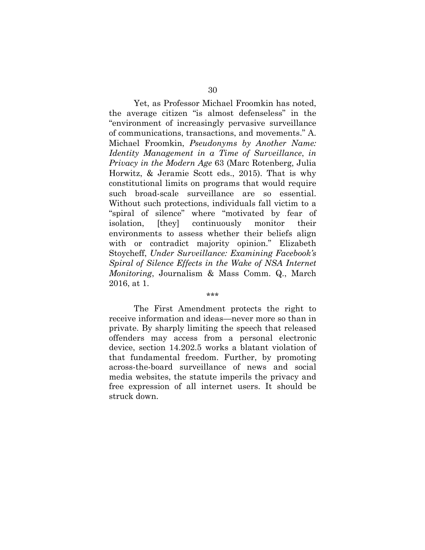Yet, as Professor Michael Froomkin has noted, the average citizen "is almost defenseless" in the "environment of increasingly pervasive surveillance of communications, transactions, and movements." A. Michael Froomkin, *Pseudonyms by Another Name: Identity Management in a Time of Surveillance*, *in Privacy in the Modern Age* 63 (Marc Rotenberg, Julia Horwitz, & Jeramie Scott eds., 2015). That is why constitutional limits on programs that would require such broad-scale surveillance are so essential. Without such protections, individuals fall victim to a "spiral of silence" where "motivated by fear of isolation, [they] continuously monitor their environments to assess whether their beliefs align with or contradict majority opinion." Elizabeth Stoycheff, *Under Surveillance: Examining Facebook's Spiral of Silence Effects in the Wake of NSA Internet Monitoring*, Journalism & Mass Comm. Q., March 2016, at 1.

\*\*\*

The First Amendment protects the right to receive information and ideas—never more so than in private. By sharply limiting the speech that released offenders may access from a personal electronic device, section 14.202.5 works a blatant violation of that fundamental freedom. Further, by promoting across-the-board surveillance of news and social media websites, the statute imperils the privacy and free expression of all internet users. It should be struck down.